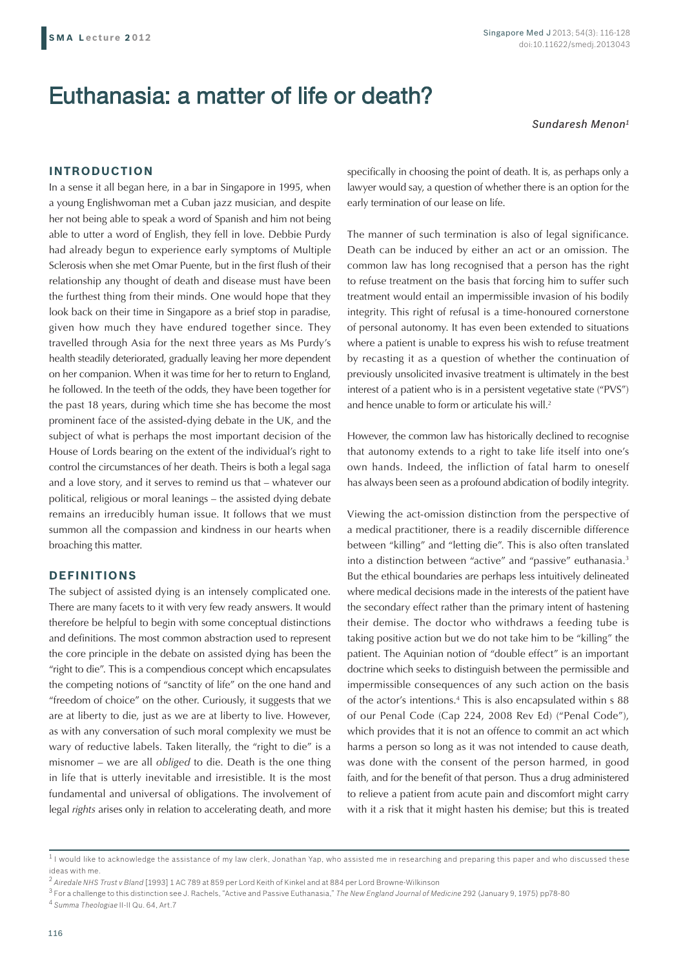# Euthanasia: a matter of life or death?

*Sundaresh Menon1*

# **INTRODUCTION**

In a sense it all began here, in a bar in Singapore in 1995, when a young Englishwoman met a Cuban jazz musician, and despite her not being able to speak a word of Spanish and him not being able to utter a word of English, they fell in love. Debbie Purdy had already begun to experience early symptoms of Multiple Sclerosis when she met Omar Puente, but in the first flush of their relationship any thought of death and disease must have been the furthest thing from their minds. One would hope that they look back on their time in Singapore as a brief stop in paradise, given how much they have endured together since. They travelled through Asia for the next three years as Ms Purdy's health steadily deteriorated, gradually leaving her more dependent on her companion. When it was time for her to return to England, he followed. In the teeth of the odds, they have been together for the past 18 years, during which time she has become the most prominent face of the assisted-dying debate in the UK, and the subject of what is perhaps the most important decision of the House of Lords bearing on the extent of the individual's right to control the circumstances of her death. Theirs is both a legal saga and a love story, and it serves to remind us that – whatever our political, religious or moral leanings – the assisted dying debate remains an irreducibly human issue. It follows that we must summon all the compassion and kindness in our hearts when broaching this matter.

# **DEFINITIONS**

The subject of assisted dying is an intensely complicated one. There are many facets to it with very few ready answers. It would therefore be helpful to begin with some conceptual distinctions and definitions. The most common abstraction used to represent the core principle in the debate on assisted dying has been the "right to die". This is a compendious concept which encapsulates the competing notions of "sanctity of life" on the one hand and "freedom of choice" on the other. Curiously, it suggests that we are at liberty to die, just as we are at liberty to live. However, as with any conversation of such moral complexity we must be wary of reductive labels. Taken literally, the "right to die" is a misnomer – we are all *obliged* to die. Death is the one thing in life that is utterly inevitable and irresistible. It is the most fundamental and universal of obligations. The involvement of legal *rights* arises only in relation to accelerating death, and more

specifically in choosing the point of death. It is, as perhaps only a lawyer would say, a question of whether there is an option for the early termination of our lease on life.

The manner of such termination is also of legal significance. Death can be induced by either an act or an omission. The common law has long recognised that a person has the right to refuse treatment on the basis that forcing him to suffer such treatment would entail an impermissible invasion of his bodily integrity. This right of refusal is a time-honoured cornerstone of personal autonomy. It has even been extended to situations where a patient is unable to express his wish to refuse treatment by recasting it as a question of whether the continuation of previously unsolicited invasive treatment is ultimately in the best interest of a patient who is in a persistent vegetative state ("PVS") and hence unable to form or articulate his will.<sup>2</sup>

However, the common law has historically declined to recognise that autonomy extends to a right to take life itself into one's own hands. Indeed, the infliction of fatal harm to oneself has always been seen as a profound abdication of bodily integrity.

Viewing the act-omission distinction from the perspective of a medical practitioner, there is a readily discernible difference between "killing" and "letting die". This is also often translated into a distinction between "active" and "passive" euthanasia.3 But the ethical boundaries are perhaps less intuitively delineated where medical decisions made in the interests of the patient have the secondary effect rather than the primary intent of hastening their demise. The doctor who withdraws a feeding tube is taking positive action but we do not take him to be "killing" the patient. The Aquinian notion of "double effect" is an important doctrine which seeks to distinguish between the permissible and impermissible consequences of any such action on the basis of the actor's intentions.4 This is also encapsulated within s 88 of our Penal Code (Cap 224, 2008 Rev Ed) ("Penal Code"), which provides that it is not an offence to commit an act which harms a person so long as it was not intended to cause death, was done with the consent of the person harmed, in good faith, and for the benefit of that person. Thus a drug administered to relieve a patient from acute pain and discomfort might carry with it a risk that it might hasten his demise; but this is treated

 $1$  I would like to acknowledge the assistance of my law clerk, Jonathan Yap, who assisted me in researching and preparing this paper and who discussed these ideas with me.

<sup>&</sup>lt;sup>2</sup> Airedale NHS Trust v Bland [1993] 1 AC 789 at 859 per Lord Keith of Kinkel and at 884 per Lord Browne-Wilkinson

<sup>3</sup> For a challenge to this distinction see J. Rachels, "Active and Passive Euthanasia," *The New England Journal of Medicine* 292 (January 9, 1975) pp78-80

<sup>4</sup> *Summa Theologiae* II-II Qu. 64, Art.7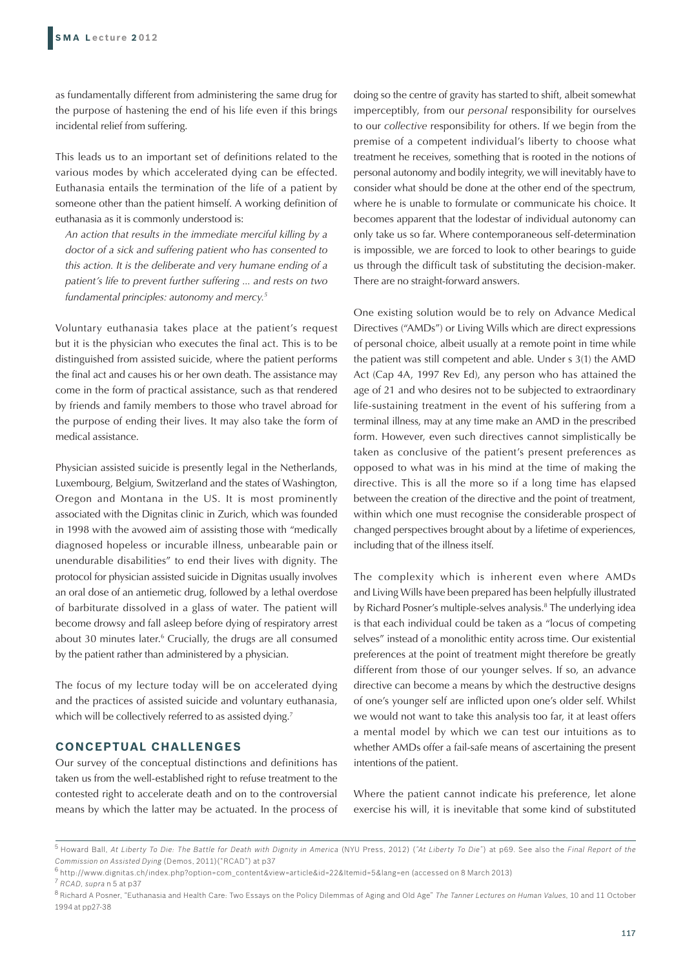as fundamentally different from administering the same drug for the purpose of hastening the end of his life even if this brings incidental relief from suffering.

This leads us to an important set of definitions related to the various modes by which accelerated dying can be effected. Euthanasia entails the termination of the life of a patient by someone other than the patient himself. A working definition of euthanasia as it is commonly understood is:

*An action that results in the immediate merciful killing by a doctor of a sick and suffering patient who has consented to this action. It is the deliberate and very humane ending of a patient's life to prevent further suffering ... and rests on two fundamental principles: autonomy and mercy.5*

Voluntary euthanasia takes place at the patient's request but it is the physician who executes the final act. This is to be distinguished from assisted suicide, where the patient performs the final act and causes his or her own death. The assistance may come in the form of practical assistance, such as that rendered by friends and family members to those who travel abroad for the purpose of ending their lives. It may also take the form of medical assistance.

Physician assisted suicide is presently legal in the Netherlands, Luxembourg, Belgium, Switzerland and the states of Washington, Oregon and Montana in the US. It is most prominently associated with the Dignitas clinic in Zurich, which was founded in 1998 with the avowed aim of assisting those with "medically diagnosed hopeless or incurable illness, unbearable pain or unendurable disabilities" to end their lives with dignity. The protocol for physician assisted suicide in Dignitas usually involves an oral dose of an antiemetic drug, followed by a lethal overdose of barbiturate dissolved in a glass of water. The patient will become drowsy and fall asleep before dying of respiratory arrest about 30 minutes later.<sup>6</sup> Crucially, the drugs are all consumed by the patient rather than administered by a physician.

The focus of my lecture today will be on accelerated dying and the practices of assisted suicide and voluntary euthanasia, which will be collectively referred to as assisted dying.<sup>7</sup>

# **CONCEPTUAL CHALLENGES**

Our survey of the conceptual distinctions and definitions has taken us from the well-established right to refuse treatment to the contested right to accelerate death and on to the controversial means by which the latter may be actuated. In the process of

doing so the centre of gravity has started to shift, albeit somewhat imperceptibly, from our *personal* responsibility for ourselves to our *collective* responsibility for others. If we begin from the premise of a competent individual's liberty to choose what treatment he receives, something that is rooted in the notions of personal autonomy and bodily integrity, we will inevitably have to consider what should be done at the other end of the spectrum, where he is unable to formulate or communicate his choice. It becomes apparent that the lodestar of individual autonomy can only take us so far. Where contemporaneous self-determination is impossible, we are forced to look to other bearings to guide us through the difficult task of substituting the decision-maker. There are no straight-forward answers.

One existing solution would be to rely on Advance Medical Directives ("AMDs") or Living Wills which are direct expressions of personal choice, albeit usually at a remote point in time while the patient was still competent and able. Under s 3(1) the AMD Act (Cap 4A, 1997 Rev Ed), any person who has attained the age of 21 and who desires not to be subjected to extraordinary life-sustaining treatment in the event of his suffering from a terminal illness, may at any time make an AMD in the prescribed form. However, even such directives cannot simplistically be taken as conclusive of the patient's present preferences as opposed to what was in his mind at the time of making the directive. This is all the more so if a long time has elapsed between the creation of the directive and the point of treatment, within which one must recognise the considerable prospect of changed perspectives brought about by a lifetime of experiences, including that of the illness itself.

The complexity which is inherent even where AMDs and Living Wills have been prepared has been helpfully illustrated by Richard Posner's multiple-selves analysis.<sup>8</sup> The underlying idea is that each individual could be taken as a "locus of competing selves" instead of a monolithic entity across time. Our existential preferences at the point of treatment might therefore be greatly different from those of our younger selves. If so, an advance directive can become a means by which the destructive designs of one's younger self are inflicted upon one's older self. Whilst we would not want to take this analysis too far, it at least offers a mental model by which we can test our intuitions as to whether AMDs offer a fail-safe means of ascertaining the present intentions of the patient.

Where the patient cannot indicate his preference, let alone exercise his will, it is inevitable that some kind of substituted

<sup>5</sup> Howard Ball, *At Liberty To Die: The Battle for Death with Dignity in America* (NYU Press, 2012) (*"At Liberty To Die"*) at p69. See also the *Final Report of the Commission on Assisted Dying* (Demos, 2011)("RCAD") at p37

<sup>6</sup> http://www.dignitas.ch/index.php?option=com\_content&view=article&id=22&Itemid=5&lang=en (accessed on 8 March 2013)

<sup>7</sup> *RCAD, supra* n 5 at p37

<sup>8</sup> Richard A Posner, "Euthanasia and Health Care: Two Essays on the Policy Dilemmas of Aging and Old Age" *The Tanner Lectures on Human Values*, 10 and 11 October 1994 at pp27-38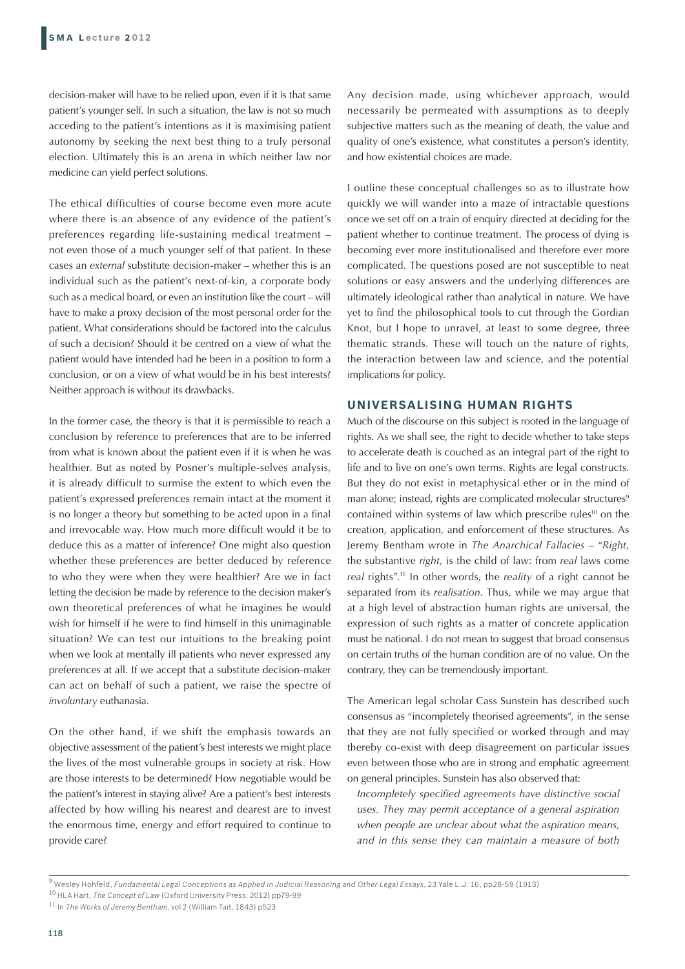decision-maker will have to be relied upon, even if it is that same patient's younger self. In such a situation, the law is not so much acceding to the patient's intentions as it is maximising patient autonomy by seeking the next best thing to a truly personal election. Ultimately this is an arena in which neither law nor medicine can yield perfect solutions.

The ethical difficulties of course become even more acute where there is an absence of any evidence of the patient's preferences regarding life-sustaining medical treatment – not even those of a much younger self of that patient. In these cases an *external* substitute decision-maker – whether this is an individual such as the patient's next-of-kin, a corporate body such as a medical board, or even an institution like the court – will have to make a proxy decision of the most personal order for the patient. What considerations should be factored into the calculus of such a decision? Should it be centred on a view of what the patient would have intended had he been in a position to form a conclusion, or on a view of what would be in his best interests? Neither approach is without its drawbacks.

In the former case, the theory is that it is permissible to reach a conclusion by reference to preferences that are to be inferred from what is known about the patient even if it is when he was healthier. But as noted by Posner's multiple-selves analysis, it is already difficult to surmise the extent to which even the patient's expressed preferences remain intact at the moment it is no longer a theory but something to be acted upon in a final and irrevocable way. How much more difficult would it be to deduce this as a matter of inference? One might also question whether these preferences are better deduced by reference to who they were when they were healthier? Are we in fact letting the decision be made by reference to the decision maker's own theoretical preferences of what he imagines he would wish for himself if he were to find himself in this unimaginable situation? We can test our intuitions to the breaking point when we look at mentally ill patients who never expressed any preferences at all. If we accept that a substitute decision-maker can act on behalf of such a patient, we raise the spectre of *involuntary* euthanasia.

On the other hand, if we shift the emphasis towards an objective assessment of the patient's best interests we might place the lives of the most vulnerable groups in society at risk. How are those interests to be determined? How negotiable would be the patient's interest in staying alive? Are a patient's best interests affected by how willing his nearest and dearest are to invest the enormous time, energy and effort required to continue to provide care?

Any decision made, using whichever approach, would necessarily be permeated with assumptions as to deeply subjective matters such as the meaning of death, the value and quality of one's existence, what constitutes a person's identity, and how existential choices are made.

I outline these conceptual challenges so as to illustrate how quickly we will wander into a maze of intractable questions once we set off on a train of enquiry directed at deciding for the patient whether to continue treatment. The process of dying is becoming ever more institutionalised and therefore ever more complicated. The questions posed are not susceptible to neat solutions or easy answers and the underlying differences are ultimately ideological rather than analytical in nature. We have yet to find the philosophical tools to cut through the Gordian Knot, but I hope to unravel, at least to some degree, three thematic strands. These will touch on the nature of rights, the interaction between law and science, and the potential implications for policy.

# **UNIVERSALISING HUMAN RIGHTS**

Much of the discourse on this subject is rooted in the language of rights. As we shall see, the right to decide whether to take steps to accelerate death is couched as an integral part of the right to life and to live on one's own terms. Rights are legal constructs. But they do not exist in metaphysical ether or in the mind of man alone; instead, rights are complicated molecular structures<sup>9</sup> contained within systems of law which prescribe rules<sup>10</sup> on the creation, application, and enforcement of these structures. As Jeremy Bentham wrote in *The Anarchical Fallacies* – "*Right*, the substantive *right*, is the child of law: from *real* laws come *real* rights".11 In other words, the *reality* of a right cannot be separated from its *realisation*. Thus, while we may argue that at a high level of abstraction human rights are universal, the expression of such rights as a matter of concrete application must be national. I do not mean to suggest that broad consensus on certain truths of the human condition are of no value. On the contrary, they can be tremendously important.

The American legal scholar Cass Sunstein has described such consensus as "incompletely theorised agreements", in the sense that they are not fully specified or worked through and may thereby co-exist with deep disagreement on particular issues even between those who are in strong and emphatic agreement on general principles. Sunstein has also observed that:

*Incompletely specified agreements have distinctive social uses. They may permit acceptance of a general aspiration when people are unclear about what the aspiration means, and in this sense they can maintain a measure of both* 

<sup>9</sup> Wesley Hohfeld, *Fundamental Legal Conceptions as Applied in Judicial Reasoning and Other Legal Essays*, 23 Yale L.J. 16, pp28-59 (1913)

<sup>10</sup> HLA Hart, *The Concept of Law* (Oxford University Press, 2012) pp79-99

<sup>11</sup> In *The Works of Jeremy Bentham*, vol 2 (William Tait, 1843) p523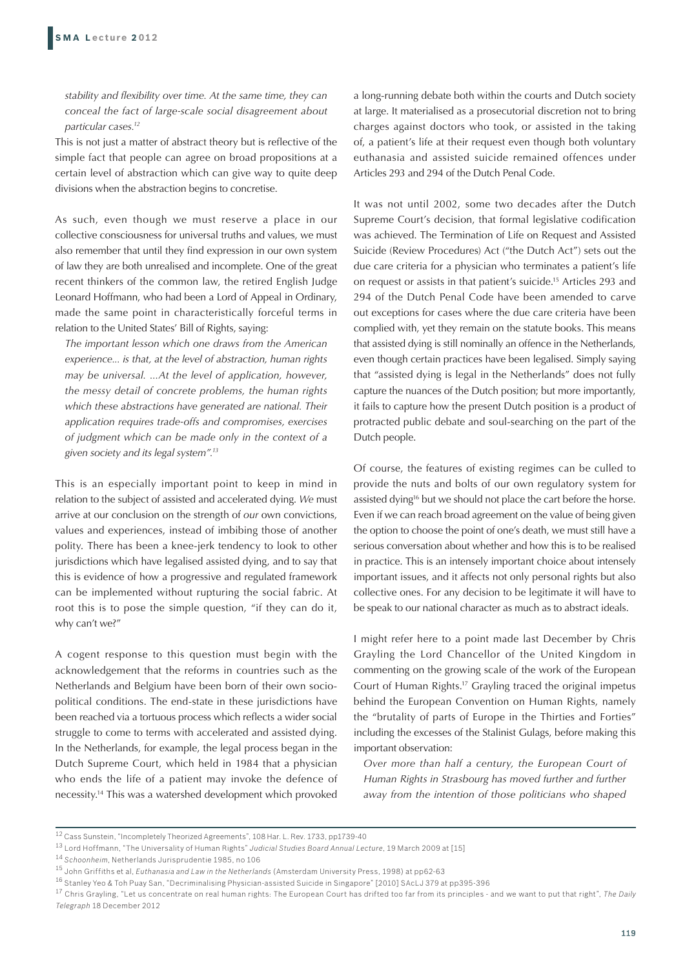*stability and flexibility over time. At the same time, they can conceal the fact of large-scale social disagreement about particular cases.12*

This is not just a matter of abstract theory but is reflective of the simple fact that people can agree on broad propositions at a certain level of abstraction which can give way to quite deep divisions when the abstraction begins to concretise.

As such, even though we must reserve a place in our collective consciousness for universal truths and values, we must also remember that until they find expression in our own system of law they are both unrealised and incomplete. One of the great recent thinkers of the common law, the retired English Judge Leonard Hoffmann, who had been a Lord of Appeal in Ordinary, made the same point in characteristically forceful terms in relation to the United States' Bill of Rights, saying:

*The important lesson which one draws from the American experience... is that, at the level of abstraction, human rights may be universal. ...At the level of application, however, the messy detail of concrete problems, the human rights which these abstractions have generated are national. Their application requires trade-offs and compromises, exercises of judgment which can be made only in the context of a given society and its legal system".13*

This is an especially important point to keep in mind in relation to the subject of assisted and accelerated dying. *We* must arrive at our conclusion on the strength of *our* own convictions, values and experiences, instead of imbibing those of another polity. There has been a knee-jerk tendency to look to other jurisdictions which have legalised assisted dying, and to say that this is evidence of how a progressive and regulated framework can be implemented without rupturing the social fabric. At root this is to pose the simple question, "if they can do it, why can't we?"

A cogent response to this question must begin with the acknowledgement that the reforms in countries such as the Netherlands and Belgium have been born of their own sociopolitical conditions. The end-state in these jurisdictions have been reached via a tortuous process which reflects a wider social struggle to come to terms with accelerated and assisted dying. In the Netherlands, for example, the legal process began in the Dutch Supreme Court, which held in 1984 that a physician who ends the life of a patient may invoke the defence of necessity.14 This was a watershed development which provoked a long-running debate both within the courts and Dutch society at large. It materialised as a prosecutorial discretion not to bring charges against doctors who took, or assisted in the taking of, a patient's life at their request even though both voluntary euthanasia and assisted suicide remained offences under Articles 293 and 294 of the Dutch Penal Code.

It was not until 2002, some two decades after the Dutch Supreme Court's decision, that formal legislative codification was achieved. The Termination of Life on Request and Assisted Suicide (Review Procedures) Act ("the Dutch Act") sets out the due care criteria for a physician who terminates a patient's life on request or assists in that patient's suicide.15 Articles 293 and 294 of the Dutch Penal Code have been amended to carve out exceptions for cases where the due care criteria have been complied with, yet they remain on the statute books. This means that assisted dying is still nominally an offence in the Netherlands, even though certain practices have been legalised. Simply saying that "assisted dying is legal in the Netherlands" does not fully capture the nuances of the Dutch position; but more importantly, it fails to capture how the present Dutch position is a product of protracted public debate and soul-searching on the part of the Dutch people.

Of course, the features of existing regimes can be culled to provide the nuts and bolts of our own regulatory system for assisted dying<sup>16</sup> but we should not place the cart before the horse. Even if we can reach broad agreement on the value of being given the option to choose the point of one's death, we must still have a serious conversation about whether and how this is to be realised in practice. This is an intensely important choice about intensely important issues, and it affects not only personal rights but also collective ones. For any decision to be legitimate it will have to be speak to our national character as much as to abstract ideals.

I might refer here to a point made last December by Chris Grayling the Lord Chancellor of the United Kingdom in commenting on the growing scale of the work of the European Court of Human Rights.17 Grayling traced the original impetus behind the European Convention on Human Rights, namely the "brutality of parts of Europe in the Thirties and Forties" including the excesses of the Stalinist Gulags, before making this important observation:

*Over more than half a century, the European Court of Human Rights in Strasbourg has moved further and further away from the intention of those politicians who shaped* 

<sup>12</sup> Cass Sunstein, "Incompletely Theorized Agreements", 108 Har. L. Rev. 1733, pp1739-40

<sup>13</sup> Lord Hoffmann, "The Universality of Human Rights" *Judicial Studies Board Annual Lecture*, 19 March 2009 at [15]

<sup>14</sup> *Schoonheim*, Netherlands Jurisprudentie 1985, no 106

<sup>15</sup> John Griffiths et al, *Euthanasia and Law in the Netherlands* (Amsterdam University Press, 1998) at pp62-63

<sup>16</sup> Stanley Yeo & Toh Puay San, "Decriminalising Physician-assisted Suicide in Singapore" [2010] SAcLJ 379 at pp395-396

<sup>17</sup> Chris Grayling, "Let us concentrate on real human rights: The European Court has drifted too far from its principles - and we want to put that right", *The Daily Telegraph* 18 December 2012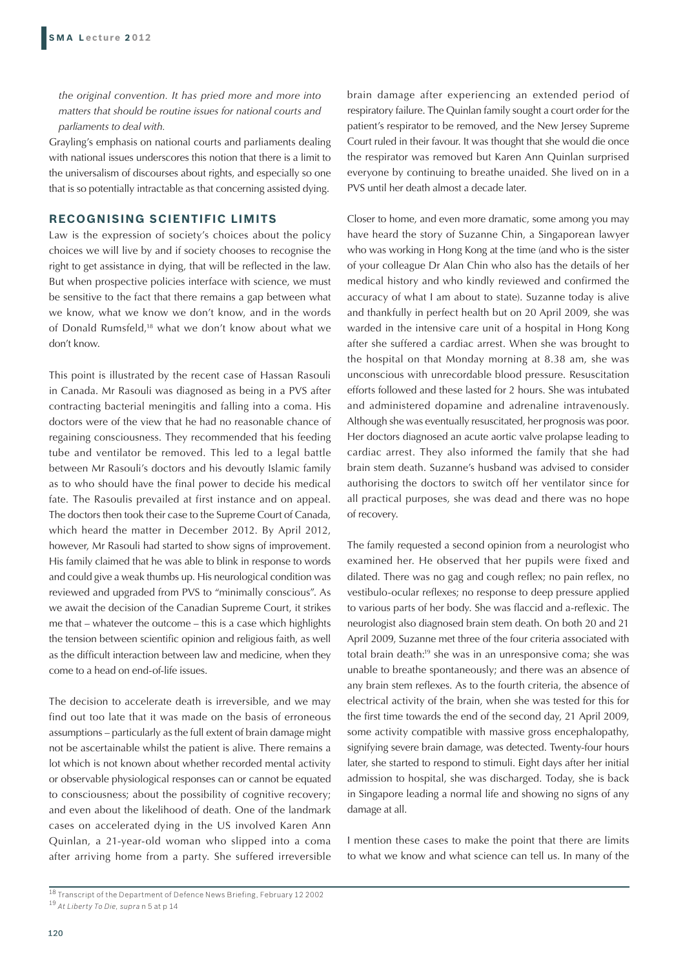*the original convention. It has pried more and more into matters that should be routine issues for national courts and parliaments to deal with.*

Grayling's emphasis on national courts and parliaments dealing with national issues underscores this notion that there is a limit to the universalism of discourses about rights, and especially so one that is so potentially intractable as that concerning assisted dying.

# **RECOGNISING SCIENTIFIC LIMITS**

Law is the expression of society's choices about the policy choices we will live by and if society chooses to recognise the right to get assistance in dying, that will be reflected in the law. But when prospective policies interface with science, we must be sensitive to the fact that there remains a gap between what we know, what we know we don't know, and in the words of Donald Rumsfeld,18 what we don't know about what we don't know.

This point is illustrated by the recent case of Hassan Rasouli in Canada. Mr Rasouli was diagnosed as being in a PVS after contracting bacterial meningitis and falling into a coma. His doctors were of the view that he had no reasonable chance of regaining consciousness. They recommended that his feeding tube and ventilator be removed. This led to a legal battle between Mr Rasouli's doctors and his devoutly Islamic family as to who should have the final power to decide his medical fate. The Rasoulis prevailed at first instance and on appeal. The doctors then took their case to the Supreme Court of Canada, which heard the matter in December 2012. By April 2012, however, Mr Rasouli had started to show signs of improvement. His family claimed that he was able to blink in response to words and could give a weak thumbs up. His neurological condition was reviewed and upgraded from PVS to "minimally conscious". As we await the decision of the Canadian Supreme Court, it strikes me that – whatever the outcome – this is a case which highlights the tension between scientific opinion and religious faith, as well as the difficult interaction between law and medicine, when they come to a head on end-of-life issues.

The decision to accelerate death is irreversible, and we may find out too late that it was made on the basis of erroneous assumptions – particularly as the full extent of brain damage might not be ascertainable whilst the patient is alive. There remains a lot which is not known about whether recorded mental activity or observable physiological responses can or cannot be equated to consciousness; about the possibility of cognitive recovery; and even about the likelihood of death. One of the landmark cases on accelerated dying in the US involved Karen Ann Quinlan, a 21-year-old woman who slipped into a coma after arriving home from a party. She suffered irreversible

brain damage after experiencing an extended period of respiratory failure. The Quinlan family sought a court order for the patient's respirator to be removed, and the New Jersey Supreme Court ruled in their favour. It was thought that she would die once the respirator was removed but Karen Ann Quinlan surprised everyone by continuing to breathe unaided. She lived on in a PVS until her death almost a decade later.

Closer to home, and even more dramatic, some among you may have heard the story of Suzanne Chin, a Singaporean lawyer who was working in Hong Kong at the time (and who is the sister of your colleague Dr Alan Chin who also has the details of her medical history and who kindly reviewed and confirmed the accuracy of what I am about to state). Suzanne today is alive and thankfully in perfect health but on 20 April 2009, she was warded in the intensive care unit of a hospital in Hong Kong after she suffered a cardiac arrest. When she was brought to the hospital on that Monday morning at 8.38 am, she was unconscious with unrecordable blood pressure. Resuscitation efforts followed and these lasted for 2 hours. She was intubated and administered dopamine and adrenaline intravenously. Although she was eventually resuscitated, her prognosis was poor. Her doctors diagnosed an acute aortic valve prolapse leading to cardiac arrest. They also informed the family that she had brain stem death. Suzanne's husband was advised to consider authorising the doctors to switch off her ventilator since for all practical purposes, she was dead and there was no hope of recovery.

The family requested a second opinion from a neurologist who examined her. He observed that her pupils were fixed and dilated. There was no gag and cough reflex; no pain reflex, no vestibulo-ocular reflexes; no response to deep pressure applied to various parts of her body. She was flaccid and a-reflexic. The neurologist also diagnosed brain stem death. On both 20 and 21 April 2009, Suzanne met three of the four criteria associated with total brain death:19 she was in an unresponsive coma; she was unable to breathe spontaneously; and there was an absence of any brain stem reflexes. As to the fourth criteria, the absence of electrical activity of the brain, when she was tested for this for the first time towards the end of the second day, 21 April 2009, some activity compatible with massive gross encephalopathy, signifying severe brain damage, was detected. Twenty-four hours later, she started to respond to stimuli. Eight days after her initial admission to hospital, she was discharged. Today, she is back in Singapore leading a normal life and showing no signs of any damage at all.

I mention these cases to make the point that there are limits to what we know and what science can tell us. In many of the

<sup>18</sup> Transcript of the Department of Defence News Briefing, February 12 2002 <sup>19</sup> *At Liberty To Die, supra* n 5 at p 14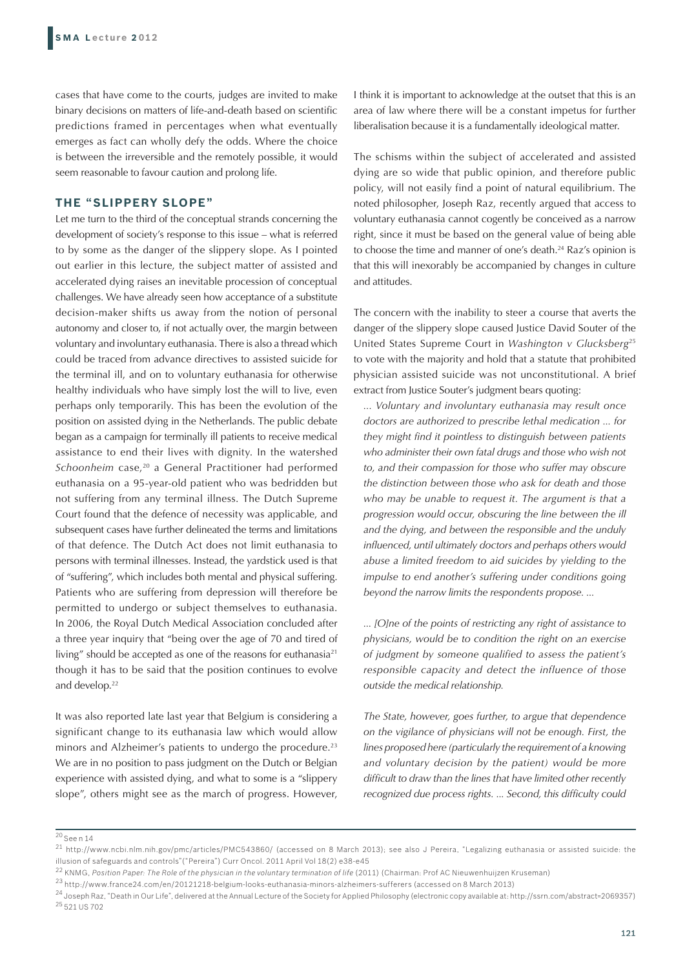cases that have come to the courts, judges are invited to make binary decisions on matters of life-and-death based on scientific predictions framed in percentages when what eventually emerges as fact can wholly defy the odds. Where the choice is between the irreversible and the remotely possible, it would seem reasonable to favour caution and prolong life.

#### **THE "SLIPPERY SLOPE"**

Let me turn to the third of the conceptual strands concerning the development of society's response to this issue – what is referred to by some as the danger of the slippery slope. As I pointed out earlier in this lecture, the subject matter of assisted and accelerated dying raises an inevitable procession of conceptual challenges. We have already seen how acceptance of a substitute decision-maker shifts us away from the notion of personal autonomy and closer to, if not actually over, the margin between voluntary and involuntary euthanasia. There is also a thread which could be traced from advance directives to assisted suicide for the terminal ill, and on to voluntary euthanasia for otherwise healthy individuals who have simply lost the will to live, even perhaps only temporarily. This has been the evolution of the position on assisted dying in the Netherlands. The public debate began as a campaign for terminally ill patients to receive medical assistance to end their lives with dignity. In the watershed *Schoonheim* case,<sup>20</sup> a General Practitioner had performed euthanasia on a 95-year-old patient who was bedridden but not suffering from any terminal illness. The Dutch Supreme Court found that the defence of necessity was applicable, and subsequent cases have further delineated the terms and limitations of that defence. The Dutch Act does not limit euthanasia to persons with terminal illnesses. Instead, the yardstick used is that of "suffering", which includes both mental and physical suffering. Patients who are suffering from depression will therefore be permitted to undergo or subject themselves to euthanasia. In 2006, the Royal Dutch Medical Association concluded after a three year inquiry that "being over the age of 70 and tired of living" should be accepted as one of the reasons for euthanasia<sup>21</sup> though it has to be said that the position continues to evolve and develop.<sup>22</sup>

It was also reported late last year that Belgium is considering a significant change to its euthanasia law which would allow minors and Alzheimer's patients to undergo the procedure.<sup>23</sup> We are in no position to pass judgment on the Dutch or Belgian experience with assisted dying, and what to some is a "slippery slope", others might see as the march of progress. However, I think it is important to acknowledge at the outset that this is an area of law where there will be a constant impetus for further liberalisation because it is a fundamentally ideological matter.

The schisms within the subject of accelerated and assisted dying are so wide that public opinion, and therefore public policy, will not easily find a point of natural equilibrium. The noted philosopher, Joseph Raz, recently argued that access to voluntary euthanasia cannot cogently be conceived as a narrow right, since it must be based on the general value of being able to choose the time and manner of one's death.<sup>24</sup> Raz's opinion is that this will inexorably be accompanied by changes in culture and attitudes.

The concern with the inability to steer a course that averts the danger of the slippery slope caused Justice David Souter of the United States Supreme Court in *Washington v Glucksberg*<sup>25</sup> to vote with the majority and hold that a statute that prohibited physician assisted suicide was not unconstitutional. A brief extract from Justice Souter's judgment bears quoting:

*... Voluntary and involuntary euthanasia may result once doctors are authorized to prescribe lethal medication ... for they might find it pointless to distinguish between patients who administer their own fatal drugs and those who wish not to, and their compassion for those who suffer may obscure the distinction between those who ask for death and those who may be unable to request it. The argument is that a progression would occur, obscuring the line between the ill and the dying, and between the responsible and the unduly influenced, until ultimately doctors and perhaps others would abuse a limited freedom to aid suicides by yielding to the impulse to end another's suffering under conditions going beyond the narrow limits the respondents propose. ...*

*... [O]ne of the points of restricting any right of assistance to physicians, would be to condition the right on an exercise of judgment by someone qualified to assess the patient's responsible capacity and detect the influence of those outside the medical relationship.*

*The State, however, goes further, to argue that dependence on the vigilance of physicians will not be enough. First, the lines proposed here (particularly the requirement of a knowing and voluntary decision by the patient) would be more difficult to draw than the lines that have limited other recently recognized due process rights. ... Second, this difficulty could* 

<sup>20</sup> See n 14

<sup>21</sup> http://www.ncbi.nlm.nih.gov/pmc/articles/PMC543860/ (accessed on 8 March 2013); see also J Pereira, "Legalizing euthanasia or assisted suicide: the illusion of safeguards and controls"("Pereira") Curr Oncol. 2011 April Vol 18(2) e38-e45

<sup>&</sup>lt;sup>22</sup> KNMG, Position Paper: The Role of the physician in the voluntary termination of life (2011) (Chairman: Prof AC Nieuwenhuijzen Kruseman)

<sup>23</sup> http://www.france24.com/en/20121218-belgium-looks-euthanasia-minors-alzheimers-sufferers (accessed on 8 March 2013)

<sup>&</sup>lt;sup>24</sup> Joseph Raz, "Death in Our Life", delivered at the Annual Lecture of the Society for Applied Philosophy (electronic copy available at: http://ssrn.com/abstract=2069357) 25 521 US 702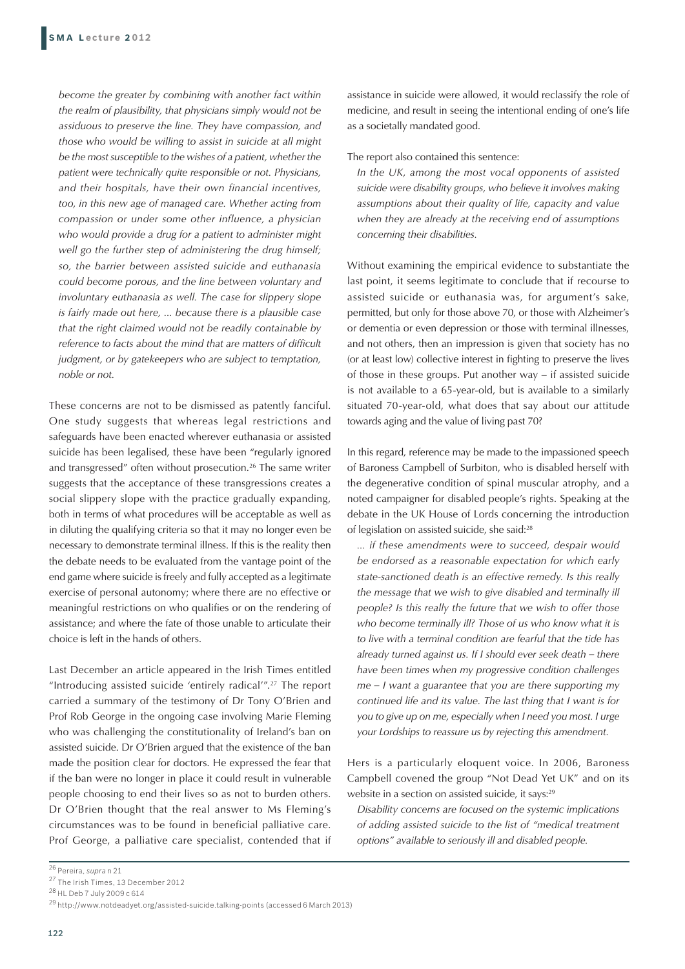*become the greater by combining with another fact within the realm of plausibility, that physicians simply would not be assiduous to preserve the line. They have compassion, and those who would be willing to assist in suicide at all might be the most susceptible to the wishes of a patient, whether the patient were technically quite responsible or not. Physicians, and their hospitals, have their own financial incentives, too, in this new age of managed care. Whether acting from compassion or under some other influence, a physician who would provide a drug for a patient to administer might well go the further step of administering the drug himself; so, the barrier between assisted suicide and euthanasia could become porous, and the line between voluntary and involuntary euthanasia as well. The case for slippery slope is fairly made out here, ... because there is a plausible case that the right claimed would not be readily containable by reference to facts about the mind that are matters of difficult judgment, or by gatekeepers who are subject to temptation, noble or not.*

These concerns are not to be dismissed as patently fanciful. One study suggests that whereas legal restrictions and safeguards have been enacted wherever euthanasia or assisted suicide has been legalised, these have been "regularly ignored and transgressed" often without prosecution.<sup>26</sup> The same writer suggests that the acceptance of these transgressions creates a social slippery slope with the practice gradually expanding, both in terms of what procedures will be acceptable as well as in diluting the qualifying criteria so that it may no longer even be necessary to demonstrate terminal illness. If this is the reality then the debate needs to be evaluated from the vantage point of the end game where suicide is freely and fully accepted as a legitimate exercise of personal autonomy; where there are no effective or meaningful restrictions on who qualifies or on the rendering of assistance; and where the fate of those unable to articulate their choice is left in the hands of others.

Last December an article appeared in the Irish Times entitled "Introducing assisted suicide 'entirely radical'".27 The report carried a summary of the testimony of Dr Tony O'Brien and Prof Rob George in the ongoing case involving Marie Fleming who was challenging the constitutionality of Ireland's ban on assisted suicide. Dr O'Brien argued that the existence of the ban made the position clear for doctors. He expressed the fear that if the ban were no longer in place it could result in vulnerable people choosing to end their lives so as not to burden others. Dr O'Brien thought that the real answer to Ms Fleming's circumstances was to be found in beneficial palliative care. Prof George, a palliative care specialist, contended that if assistance in suicide were allowed, it would reclassify the role of medicine, and result in seeing the intentional ending of one's life as a societally mandated good.

The report also contained this sentence:

*In the UK, among the most vocal opponents of assisted suicide were disability groups, who believe it involves making assumptions about their quality of life, capacity and value when they are already at the receiving end of assumptions concerning their disabilities.*

Without examining the empirical evidence to substantiate the last point, it seems legitimate to conclude that if recourse to assisted suicide or euthanasia was, for argument's sake, permitted, but only for those above 70, or those with Alzheimer's or dementia or even depression or those with terminal illnesses, and not others, then an impression is given that society has no (or at least low) collective interest in fighting to preserve the lives of those in these groups. Put another way – if assisted suicide is not available to a 65-year-old, but is available to a similarly situated 70-year-old, what does that say about our attitude towards aging and the value of living past 70?

In this regard, reference may be made to the impassioned speech of Baroness Campbell of Surbiton, who is disabled herself with the degenerative condition of spinal muscular atrophy, and a noted campaigner for disabled people's rights. Speaking at the debate in the UK House of Lords concerning the introduction of legislation on assisted suicide, she said:28

*... if these amendments were to succeed, despair would be endorsed as a reasonable expectation for which early state-sanctioned death is an effective remedy. Is this really the message that we wish to give disabled and terminally ill people? Is this really the future that we wish to offer those who become terminally ill? Those of us who know what it is to live with a terminal condition are fearful that the tide has already turned against us. If I should ever seek death – there have been times when my progressive condition challenges me – I want a guarantee that you are there supporting my continued life and its value. The last thing that I want is for you to give up on me, especially when I need you most. I urge your Lordships to reassure us by rejecting this amendment.*

Hers is a particularly eloquent voice. In 2006, Baroness Campbell covened the group "Not Dead Yet UK" and on its website in a section on assisted suicide, it says:<sup>29</sup>

*Disability concerns are focused on the systemic implications of adding assisted suicide to the list of "medical treatment options" available to seriously ill and disabled people.*

<sup>26</sup> Pereira, *supra* n 21

<sup>27</sup> The Irish Times, 13 December 2012

<sup>28</sup> HL Deb 7 July 2009 c 614

<sup>29</sup> http://www.notdeadyet.org/assisted-suicide.talking-points (accessed 6 March 2013)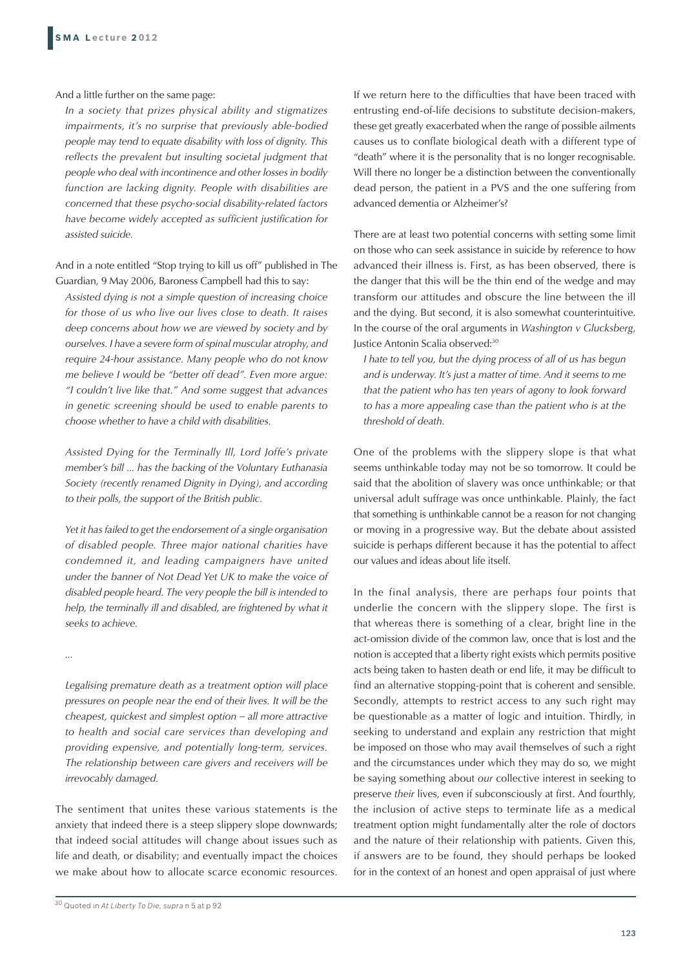And a little further on the same page:

*In a society that prizes physical ability and stigmatizes impairments, it's no surprise that previously able-bodied people may tend to equate disability with loss of dignity. This reflects the prevalent but insulting societal judgment that people who deal with incontinence and other losses in bodily function are lacking dignity. People with disabilities are concerned that these psycho-social disability-related factors have become widely accepted as sufficient justification for assisted suicide.*

And in a note entitled "Stop trying to kill us off" published in The Guardian, 9 May 2006, Baroness Campbell had this to say:

*Assisted dying is not a simple question of increasing choice for those of us who live our lives close to death. It raises deep concerns about how we are viewed by society and by ourselves. I have a severe form of spinal muscular atrophy, and require 24-hour assistance. Many people who do not know me believe I would be "better off dead". Even more argue: "I couldn't live like that." And some suggest that advances in genetic screening should be used to enable parents to choose whether to have a child with disabilities.*

*Assisted Dying for the Terminally Ill, Lord Joffe's private member's bill ... has the backing of the Voluntary Euthanasia Society (recently renamed Dignity in Dying), and according to their polls, the support of the British public.*

*Yet it has failed to get the endorsement of a single organisation of disabled people. Three major national charities have condemned it, and leading campaigners have united under the banner of Not Dead Yet UK to make the voice of disabled people heard. The very people the bill is intended to help, the terminally ill and disabled, are frightened by what it seeks to achieve.*

*...*

*Legalising premature death as a treatment option will place pressures on people near the end of their lives. It will be the cheapest, quickest and simplest option – all more attractive to health and social care services than developing and providing expensive, and potentially long-term, services. The relationship between care givers and receivers will be irrevocably damaged.*

The sentiment that unites these various statements is the anxiety that indeed there is a steep slippery slope downwards; that indeed social attitudes will change about issues such as life and death, or disability; and eventually impact the choices we make about how to allocate scarce economic resources.

30 Quoted in *At Liberty To Die, supra* n 5 at p 92

If we return here to the difficulties that have been traced with entrusting end-of-life decisions to substitute decision-makers, these get greatly exacerbated when the range of possible ailments causes us to conflate biological death with a different type of "death" where it is the personality that is no longer recognisable. Will there no longer be a distinction between the conventionally dead person, the patient in a PVS and the one suffering from advanced dementia or Alzheimer's?

There are at least two potential concerns with setting some limit on those who can seek assistance in suicide by reference to how advanced their illness is. First, as has been observed, there is the danger that this will be the thin end of the wedge and may transform our attitudes and obscure the line between the ill and the dying. But second, it is also somewhat counterintuitive. In the course of the oral arguments in *Washington v Glucksberg*, Justice Antonin Scalia observed:30

*I hate to tell you, but the dying process of all of us has begun*  and is underway. It's just a matter of time. And it seems to me *that the patient who has ten years of agony to look forward to has a more appealing case than the patient who is at the threshold of death.*

One of the problems with the slippery slope is that what seems unthinkable today may not be so tomorrow. It could be said that the abolition of slavery was once unthinkable; or that universal adult suffrage was once unthinkable. Plainly, the fact that something is unthinkable cannot be a reason for not changing or moving in a progressive way. But the debate about assisted suicide is perhaps different because it has the potential to affect our values and ideas about life itself.

In the final analysis, there are perhaps four points that underlie the concern with the slippery slope. The first is that whereas there is something of a clear, bright line in the act-omission divide of the common law, once that is lost and the notion is accepted that a liberty right exists which permits positive acts being taken to hasten death or end life, it may be difficult to find an alternative stopping-point that is coherent and sensible. Secondly, attempts to restrict access to any such right may be questionable as a matter of logic and intuition. Thirdly, in seeking to understand and explain any restriction that might be imposed on those who may avail themselves of such a right and the circumstances under which they may do so, we might be saying something about *our* collective interest in seeking to preserve *their* lives, even if subconsciously at first. And fourthly, the inclusion of active steps to terminate life as a medical treatment option might fundamentally alter the role of doctors and the nature of their relationship with patients. Given this, if answers are to be found, they should perhaps be looked for in the context of an honest and open appraisal of just where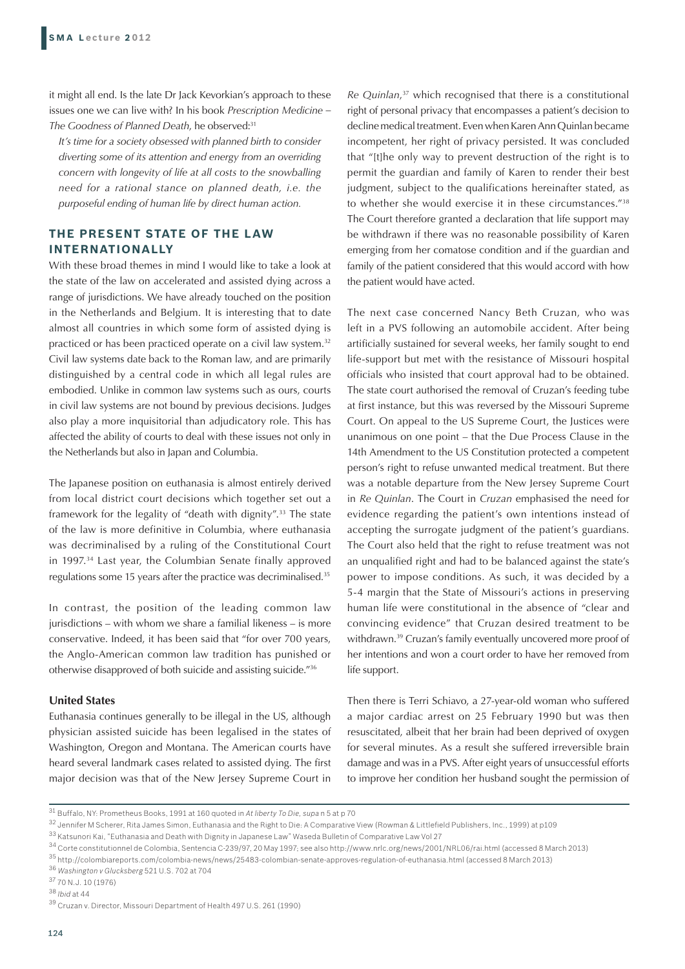it might all end. Is the late Dr Jack Kevorkian's approach to these issues one we can live with? In his book *Prescription Medicine – The Goodness of Planned Death*, he observed:31

*It's time for a society obsessed with planned birth to consider diverting some of its attention and energy from an overriding concern with longevity of life at all costs to the snowballing need for a rational stance on planned death, i.e. the purposeful ending of human life by direct human action.*

# **THE PRESENT STATE OF THE LAW INTERNATIONALLY**

With these broad themes in mind I would like to take a look at the state of the law on accelerated and assisted dying across a range of jurisdictions. We have already touched on the position in the Netherlands and Belgium. It is interesting that to date almost all countries in which some form of assisted dying is practiced or has been practiced operate on a civil law system.<sup>32</sup> Civil law systems date back to the Roman law, and are primarily distinguished by a central code in which all legal rules are embodied. Unlike in common law systems such as ours, courts in civil law systems are not bound by previous decisions. Judges also play a more inquisitorial than adjudicatory role. This has affected the ability of courts to deal with these issues not only in the Netherlands but also in Japan and Columbia.

The Japanese position on euthanasia is almost entirely derived from local district court decisions which together set out a framework for the legality of "death with dignity".33 The state of the law is more definitive in Columbia, where euthanasia was decriminalised by a ruling of the Constitutional Court in 1997.34 Last year, the Columbian Senate finally approved regulations some 15 years after the practice was decriminalised.35

In contrast, the position of the leading common law jurisdictions – with whom we share a familial likeness – is more conservative. Indeed, it has been said that "for over 700 years, the Anglo-American common law tradition has punished or otherwise disapproved of both suicide and assisting suicide."36

#### **United States**

Euthanasia continues generally to be illegal in the US, although physician assisted suicide has been legalised in the states of Washington, Oregon and Montana. The American courts have heard several landmark cases related to assisted dying. The first major decision was that of the New Jersey Supreme Court in

*Re Quinlan*, 37 which recognised that there is a constitutional right of personal privacy that encompasses a patient's decision to decline medical treatment. Even when Karen Ann Quinlan became incompetent, her right of privacy persisted. It was concluded that "[t]he only way to prevent destruction of the right is to permit the guardian and family of Karen to render their best judgment, subject to the qualifications hereinafter stated, as to whether she would exercise it in these circumstances."38 The Court therefore granted a declaration that life support may be withdrawn if there was no reasonable possibility of Karen emerging from her comatose condition and if the guardian and family of the patient considered that this would accord with how the patient would have acted.

The next case concerned Nancy Beth Cruzan, who was left in a PVS following an automobile accident. After being artificially sustained for several weeks, her family sought to end life-support but met with the resistance of Missouri hospital officials who insisted that court approval had to be obtained. The state court authorised the removal of Cruzan's feeding tube at first instance, but this was reversed by the Missouri Supreme Court. On appeal to the US Supreme Court, the Justices were unanimous on one point – that the Due Process Clause in the 14th Amendment to the US Constitution protected a competent person's right to refuse unwanted medical treatment. But there was a notable departure from the New Jersey Supreme Court in *Re Quinlan*. The Court in *Cruzan* emphasised the need for evidence regarding the patient's own intentions instead of accepting the surrogate judgment of the patient's guardians. The Court also held that the right to refuse treatment was not an unqualified right and had to be balanced against the state's power to impose conditions. As such, it was decided by a 5-4 margin that the State of Missouri's actions in preserving human life were constitutional in the absence of "clear and convincing evidence" that Cruzan desired treatment to be withdrawn.39 Cruzan's family eventually uncovered more proof of her intentions and won a court order to have her removed from life support.

Then there is Terri Schiavo, a 27-year-old woman who suffered a major cardiac arrest on 25 February 1990 but was then resuscitated, albeit that her brain had been deprived of oxygen for several minutes. As a result she suffered irreversible brain damage and was in a PVS. After eight years of unsuccessful efforts to improve her condition her husband sought the permission of

<sup>36</sup> *Washington v Glucksberg* 521 U.S. 702 at 704

<sup>38</sup> *Ibid* at 44

<sup>31</sup> Buffalo, NY: Prometheus Books, 1991 at 160 quoted in *At liberty To Die, supa* n 5 at p 70

<sup>32</sup> Jennifer M Scherer, Rita James Simon, Euthanasia and the Right to Die: A Comparative View (Rowman & Littlefield Publishers, Inc., 1999) at p109

<sup>33</sup> Katsunori Kai, "Euthanasia and Death with Dignity in Japanese Law" Waseda Bulletin of Comparative Law Vol 27

<sup>34</sup> Corte constitutionnel de Colombia, Sentencia C-239/97, 20 May 1997; see also http://www.nrlc.org/news/2001/NRL06/rai.html (accessed 8 March 2013) 35 http://colombiareports.com/colombia-news/news/25483-colombian-senate-approves-regulation-of-euthanasia.html (accessed 8 March 2013)

<sup>37 70</sup> N.J. 10 (1976)

<sup>39</sup> Cruzan v. Director, Missouri Department of Health 497 U.S. 261 (1990)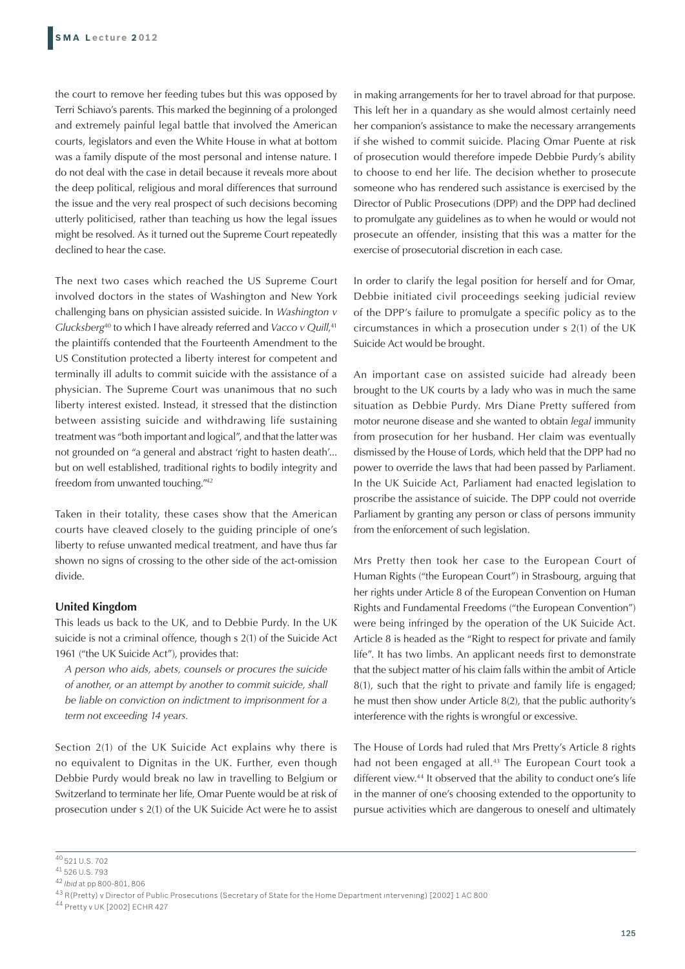the court to remove her feeding tubes but this was opposed by Terri Schiavo's parents. This marked the beginning of a prolonged and extremely painful legal battle that involved the American courts, legislators and even the White House in what at bottom was a family dispute of the most personal and intense nature. I do not deal with the case in detail because it reveals more about the deep political, religious and moral differences that surround the issue and the very real prospect of such decisions becoming utterly politicised, rather than teaching us how the legal issues might be resolved. As it turned out the Supreme Court repeatedly declined to hear the case.

The next two cases which reached the US Supreme Court involved doctors in the states of Washington and New York challenging bans on physician assisted suicide. In *Washington v Glucksberg*40 to which I have already referred and *Vacco v Quill*, 41 the plaintiffs contended that the Fourteenth Amendment to the US Constitution protected a liberty interest for competent and terminally ill adults to commit suicide with the assistance of a physician. The Supreme Court was unanimous that no such liberty interest existed. Instead, it stressed that the distinction between assisting suicide and withdrawing life sustaining treatment was "both important and logical", and that the latter was not grounded on "a general and abstract 'right to hasten death'... but on well established, traditional rights to bodily integrity and freedom from unwanted touching."42

Taken in their totality, these cases show that the American courts have cleaved closely to the guiding principle of one's liberty to refuse unwanted medical treatment, and have thus far shown no signs of crossing to the other side of the act-omission divide.

# **United Kingdom**

This leads us back to the UK, and to Debbie Purdy. In the UK suicide is not a criminal offence, though s 2(1) of the Suicide Act 1961 ("the UK Suicide Act"), provides that:

*A person who aids, abets, counsels or procures the suicide of another, or an attempt by another to commit suicide, shall be liable on conviction on indictment to imprisonment for a term not exceeding 14 years.*

Section 2(1) of the UK Suicide Act explains why there is no equivalent to Dignitas in the UK. Further, even though Debbie Purdy would break no law in travelling to Belgium or Switzerland to terminate her life, Omar Puente would be at risk of prosecution under s 2(1) of the UK Suicide Act were he to assist in making arrangements for her to travel abroad for that purpose. This left her in a quandary as she would almost certainly need her companion's assistance to make the necessary arrangements if she wished to commit suicide. Placing Omar Puente at risk of prosecution would therefore impede Debbie Purdy's ability to choose to end her life. The decision whether to prosecute someone who has rendered such assistance is exercised by the Director of Public Prosecutions (DPP) and the DPP had declined to promulgate any guidelines as to when he would or would not prosecute an offender, insisting that this was a matter for the exercise of prosecutorial discretion in each case.

In order to clarify the legal position for herself and for Omar, Debbie initiated civil proceedings seeking judicial review of the DPP's failure to promulgate a specific policy as to the circumstances in which a prosecution under s 2(1) of the UK Suicide Act would be brought.

An important case on assisted suicide had already been brought to the UK courts by a lady who was in much the same situation as Debbie Purdy. Mrs Diane Pretty suffered from motor neurone disease and she wanted to obtain *legal* immunity from prosecution for her husband. Her claim was eventually dismissed by the House of Lords, which held that the DPP had no power to override the laws that had been passed by Parliament. In the UK Suicide Act, Parliament had enacted legislation to proscribe the assistance of suicide. The DPP could not override Parliament by granting any person or class of persons immunity from the enforcement of such legislation.

Mrs Pretty then took her case to the European Court of Human Rights ("the European Court") in Strasbourg, arguing that her rights under Article 8 of the European Convention on Human Rights and Fundamental Freedoms ("the European Convention") were being infringed by the operation of the UK Suicide Act. Article 8 is headed as the "Right to respect for private and family life". It has two limbs. An applicant needs first to demonstrate that the subject matter of his claim falls within the ambit of Article 8(1), such that the right to private and family life is engaged; he must then show under Article 8(2), that the public authority's interference with the rights is wrongful or excessive.

The House of Lords had ruled that Mrs Pretty's Article 8 rights had not been engaged at all.<sup>43</sup> The European Court took a different view.<sup>44</sup> It observed that the ability to conduct one's life in the manner of one's choosing extended to the opportunity to pursue activities which are dangerous to oneself and ultimately

44 Pretty v UK [2002] ECHR 427

<sup>40 521</sup> U.S. 702

<sup>41 526</sup> U.S. 793

<sup>42</sup> *Ibid* at pp 800-801, 806

<sup>43</sup> R(Pretty) v Director of Public Prosecutions (Secretary of State for the Home Department intervening) [2002] 1 AC 800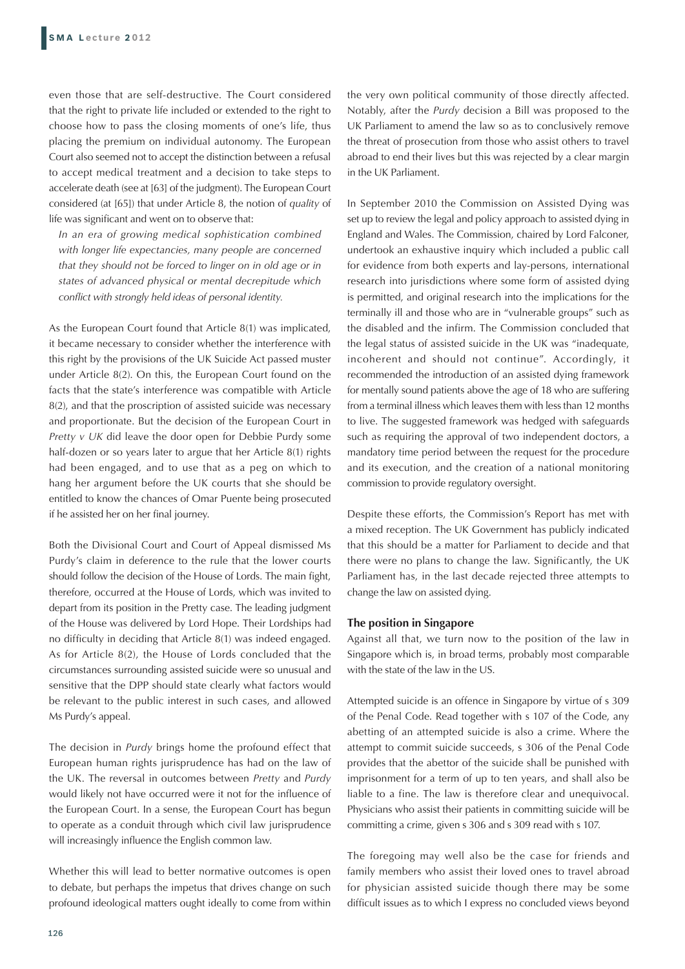even those that are self-destructive. The Court considered that the right to private life included or extended to the right to choose how to pass the closing moments of one's life, thus placing the premium on individual autonomy. The European Court also seemed not to accept the distinction between a refusal to accept medical treatment and a decision to take steps to accelerate death (see at [63] of the judgment). The European Court considered (at [65]) that under Article 8, the notion of *quality* of life was significant and went on to observe that:

*In an era of growing medical sophistication combined with longer life expectancies, many people are concerned that they should not be forced to linger on in old age or in states of advanced physical or mental decrepitude which conflict with strongly held ideas of personal identity.*

As the European Court found that Article 8(1) was implicated, it became necessary to consider whether the interference with this right by the provisions of the UK Suicide Act passed muster under Article 8(2). On this, the European Court found on the facts that the state's interference was compatible with Article 8(2), and that the proscription of assisted suicide was necessary and proportionate. But the decision of the European Court in *Pretty v UK* did leave the door open for Debbie Purdy some half-dozen or so years later to argue that her Article 8(1) rights had been engaged, and to use that as a peg on which to hang her argument before the UK courts that she should be entitled to know the chances of Omar Puente being prosecuted if he assisted her on her final journey.

Both the Divisional Court and Court of Appeal dismissed Ms Purdy's claim in deference to the rule that the lower courts should follow the decision of the House of Lords. The main fight, therefore, occurred at the House of Lords, which was invited to depart from its position in the Pretty case. The leading judgment of the House was delivered by Lord Hope. Their Lordships had no difficulty in deciding that Article 8(1) was indeed engaged. As for Article 8(2), the House of Lords concluded that the circumstances surrounding assisted suicide were so unusual and sensitive that the DPP should state clearly what factors would be relevant to the public interest in such cases, and allowed Ms Purdy's appeal.

The decision in *Purdy* brings home the profound effect that European human rights jurisprudence has had on the law of the UK. The reversal in outcomes between *Pretty* and *Purdy*  would likely not have occurred were it not for the influence of the European Court. In a sense, the European Court has begun to operate as a conduit through which civil law jurisprudence will increasingly influence the English common law.

Whether this will lead to better normative outcomes is open to debate, but perhaps the impetus that drives change on such profound ideological matters ought ideally to come from within the very own political community of those directly affected. Notably, after the *Purdy* decision a Bill was proposed to the UK Parliament to amend the law so as to conclusively remove the threat of prosecution from those who assist others to travel abroad to end their lives but this was rejected by a clear margin in the UK Parliament.

In September 2010 the Commission on Assisted Dying was set up to review the legal and policy approach to assisted dying in England and Wales. The Commission, chaired by Lord Falconer, undertook an exhaustive inquiry which included a public call for evidence from both experts and lay-persons, international research into jurisdictions where some form of assisted dying is permitted, and original research into the implications for the terminally ill and those who are in "vulnerable groups" such as the disabled and the infirm. The Commission concluded that the legal status of assisted suicide in the UK was "inadequate, incoherent and should not continue". Accordingly, it recommended the introduction of an assisted dying framework for mentally sound patients above the age of 18 who are suffering from a terminal illness which leaves them with less than 12 months to live. The suggested framework was hedged with safeguards such as requiring the approval of two independent doctors, a mandatory time period between the request for the procedure and its execution, and the creation of a national monitoring commission to provide regulatory oversight.

Despite these efforts, the Commission's Report has met with a mixed reception. The UK Government has publicly indicated that this should be a matter for Parliament to decide and that there were no plans to change the law. Significantly, the UK Parliament has, in the last decade rejected three attempts to change the law on assisted dying.

#### **The position in Singapore**

Against all that, we turn now to the position of the law in Singapore which is, in broad terms, probably most comparable with the state of the law in the US.

Attempted suicide is an offence in Singapore by virtue of s 309 of the Penal Code. Read together with s 107 of the Code, any abetting of an attempted suicide is also a crime. Where the attempt to commit suicide succeeds, s 306 of the Penal Code provides that the abettor of the suicide shall be punished with imprisonment for a term of up to ten years, and shall also be liable to a fine. The law is therefore clear and unequivocal. Physicians who assist their patients in committing suicide will be committing a crime, given s 306 and s 309 read with s 107.

The foregoing may well also be the case for friends and family members who assist their loved ones to travel abroad for physician assisted suicide though there may be some difficult issues as to which I express no concluded views beyond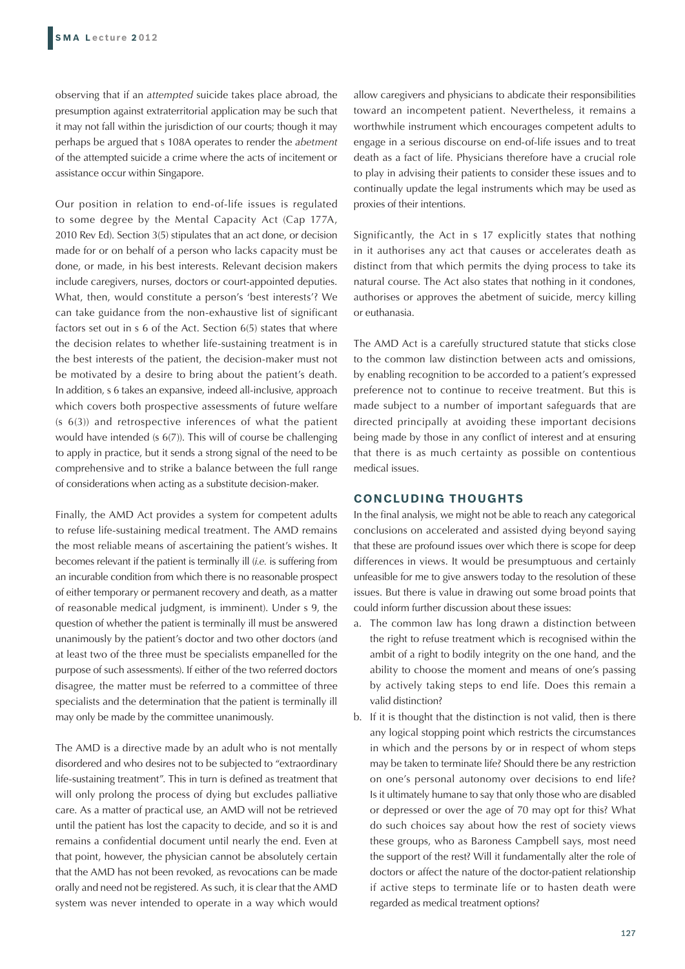observing that if an *attempted* suicide takes place abroad, the presumption against extraterritorial application may be such that it may not fall within the jurisdiction of our courts; though it may perhaps be argued that s 108A operates to render the *abetment* of the attempted suicide a crime where the acts of incitement or assistance occur within Singapore.

Our position in relation to end-of-life issues is regulated to some degree by the Mental Capacity Act (Cap 177A, 2010 Rev Ed). Section 3(5) stipulates that an act done, or decision made for or on behalf of a person who lacks capacity must be done, or made, in his best interests. Relevant decision makers include caregivers, nurses, doctors or court-appointed deputies. What, then, would constitute a person's 'best interests'? We can take guidance from the non-exhaustive list of significant factors set out in s 6 of the Act. Section 6(5) states that where the decision relates to whether life-sustaining treatment is in the best interests of the patient, the decision-maker must not be motivated by a desire to bring about the patient's death. In addition, s 6 takes an expansive, indeed all-inclusive, approach which covers both prospective assessments of future welfare (s 6(3)) and retrospective inferences of what the patient would have intended (s 6(7)). This will of course be challenging to apply in practice, but it sends a strong signal of the need to be comprehensive and to strike a balance between the full range of considerations when acting as a substitute decision-maker.

Finally, the AMD Act provides a system for competent adults to refuse life-sustaining medical treatment. The AMD remains the most reliable means of ascertaining the patient's wishes. It becomes relevant if the patient is terminally ill (*i.e.* is suffering from an incurable condition from which there is no reasonable prospect of either temporary or permanent recovery and death, as a matter of reasonable medical judgment, is imminent). Under s 9, the question of whether the patient is terminally ill must be answered unanimously by the patient's doctor and two other doctors (and at least two of the three must be specialists empanelled for the purpose of such assessments). If either of the two referred doctors disagree, the matter must be referred to a committee of three specialists and the determination that the patient is terminally ill may only be made by the committee unanimously.

The AMD is a directive made by an adult who is not mentally disordered and who desires not to be subjected to "extraordinary life-sustaining treatment". This in turn is defined as treatment that will only prolong the process of dying but excludes palliative care. As a matter of practical use, an AMD will not be retrieved until the patient has lost the capacity to decide, and so it is and remains a confidential document until nearly the end. Even at that point, however, the physician cannot be absolutely certain that the AMD has not been revoked, as revocations can be made orally and need not be registered. As such, it is clear that the AMD system was never intended to operate in a way which would

allow caregivers and physicians to abdicate their responsibilities toward an incompetent patient. Nevertheless, it remains a worthwhile instrument which encourages competent adults to engage in a serious discourse on end-of-life issues and to treat death as a fact of life. Physicians therefore have a crucial role to play in advising their patients to consider these issues and to continually update the legal instruments which may be used as proxies of their intentions.

Significantly, the Act in s 17 explicitly states that nothing in it authorises any act that causes or accelerates death as distinct from that which permits the dying process to take its natural course. The Act also states that nothing in it condones, authorises or approves the abetment of suicide, mercy killing or euthanasia.

The AMD Act is a carefully structured statute that sticks close to the common law distinction between acts and omissions, by enabling recognition to be accorded to a patient's expressed preference not to continue to receive treatment. But this is made subject to a number of important safeguards that are directed principally at avoiding these important decisions being made by those in any conflict of interest and at ensuring that there is as much certainty as possible on contentious medical issues.

# **CONCLUDING THOUGHTS**

In the final analysis, we might not be able to reach any categorical conclusions on accelerated and assisted dying beyond saying that these are profound issues over which there is scope for deep differences in views. It would be presumptuous and certainly unfeasible for me to give answers today to the resolution of these issues. But there is value in drawing out some broad points that could inform further discussion about these issues:

- a. The common law has long drawn a distinction between the right to refuse treatment which is recognised within the ambit of a right to bodily integrity on the one hand, and the ability to choose the moment and means of one's passing by actively taking steps to end life. Does this remain a valid distinction?
- b. If it is thought that the distinction is not valid, then is there any logical stopping point which restricts the circumstances in which and the persons by or in respect of whom steps may be taken to terminate life? Should there be any restriction on one's personal autonomy over decisions to end life? Is it ultimately humane to say that only those who are disabled or depressed or over the age of 70 may opt for this? What do such choices say about how the rest of society views these groups, who as Baroness Campbell says, most need the support of the rest? Will it fundamentally alter the role of doctors or affect the nature of the doctor-patient relationship if active steps to terminate life or to hasten death were regarded as medical treatment options?